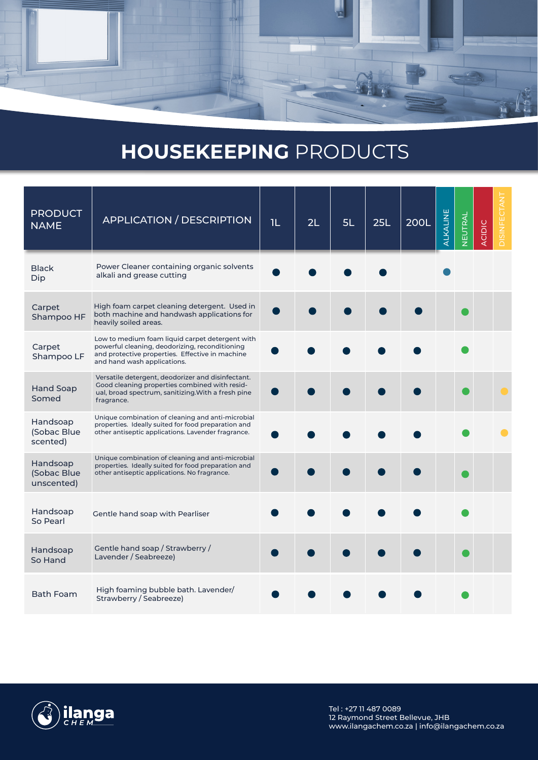

## **HOUSEKEEPING** PRODUCTS

| <b>PRODUCT</b><br><b>NAME</b>         | <b>APPLICATION / DESCRIPTION</b>                                                                                                                                                    | 1L | 2L | 5L | 25L | <b>200L</b> | ALKALINE | NEUTRAL | <b>ACIDIC</b> | DISINFECTANT |
|---------------------------------------|-------------------------------------------------------------------------------------------------------------------------------------------------------------------------------------|----|----|----|-----|-------------|----------|---------|---------------|--------------|
| <b>Black</b><br>Dip                   | Power Cleaner containing organic solvents<br>alkali and grease cutting                                                                                                              |    |    |    |     |             |          |         |               |              |
| Carpet<br>Shampoo HF                  | High foam carpet cleaning detergent. Used in<br>both machine and handwash applications for<br>heavily soiled areas.                                                                 |    |    |    |     |             |          |         |               |              |
| Carpet<br>Shampoo LF                  | Low to medium foam liquid carpet detergent with<br>powerful cleaning, deodorizing, reconditioning<br>and protective properties. Effective in machine<br>and hand wash applications. |    |    |    |     |             |          |         |               |              |
| <b>Hand Soap</b><br>Somed             | Versatile detergent, deodorizer and disinfectant.<br>Good cleaning properties combined with resid-<br>ual, broad spectrum, sanitizing. With a fresh pine<br>fragrance.              |    |    |    |     |             |          |         |               |              |
| Handsoap<br>(Sobac Blue<br>scented)   | Unique combination of cleaning and anti-microbial<br>properties. Ideally suited for food preparation and<br>other antiseptic applications. Lavender fragrance.                      |    |    |    |     |             |          |         |               |              |
| Handsoap<br>(Sobac Blue<br>unscented) | Unique combination of cleaning and anti-microbial<br>properties. Ideally suited for food preparation and<br>other antiseptic applications. No fragrance.                            |    |    |    |     |             |          |         |               |              |
| Handsoap<br>So Pearl                  | Gentle hand soap with Pearliser                                                                                                                                                     |    |    |    |     |             |          |         |               |              |
| Handsoap<br>So Hand                   | Gentle hand soap / Strawberry /<br>Lavender / Seabreeze)                                                                                                                            |    |    |    |     |             |          |         |               |              |
| <b>Bath Foam</b>                      | High foaming bubble bath. Lavender/<br>Strawberry / Seabreeze)                                                                                                                      |    |    |    |     |             |          |         |               |              |

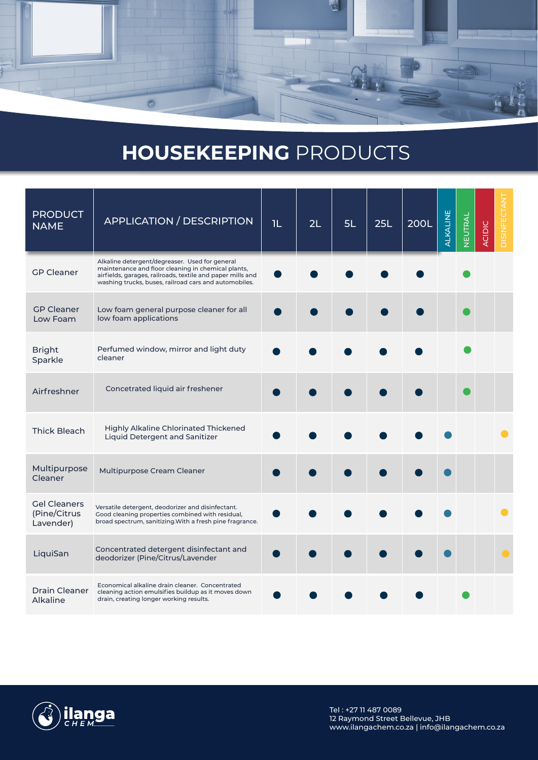

## **HOUSEKEEPING** PRODUCTS

| <b>PRODUCT</b><br><b>NAME</b>                    | <b>APPLICATION / DESCRIPTION</b>                                                                                                                                                                                            | <b>IL</b> | 2L | 5L | 25L | <b>200L</b> | ALKALINE | NEUTRAL | <b>ACIDIC</b> | <b>DISINFECTAN</b> |
|--------------------------------------------------|-----------------------------------------------------------------------------------------------------------------------------------------------------------------------------------------------------------------------------|-----------|----|----|-----|-------------|----------|---------|---------------|--------------------|
| <b>GP Cleaner</b>                                | Alkaline detergent/degreaser. Used for general<br>maintenance and floor cleaning in chemical plants,<br>airfields, garages, railroads, textile and paper mills and<br>washing trucks, buses, railroad cars and automobiles. |           |    |    |     |             |          |         |               |                    |
| <b>GP Cleaner</b><br>Low Foam                    | Low foam general purpose cleaner for all<br>low foam applications                                                                                                                                                           |           |    |    |     |             |          |         |               |                    |
| <b>Bright</b><br>Sparkle                         | Perfumed window, mirror and light duty<br>cleaner                                                                                                                                                                           |           |    |    |     |             |          |         |               |                    |
| Airfreshner                                      | Concetrated liquid air freshener                                                                                                                                                                                            |           |    |    |     |             |          |         |               |                    |
| <b>Thick Bleach</b>                              | <b>Highly Alkaline Chlorinated Thickened</b><br>Liquid Detergent and Sanitizer                                                                                                                                              |           |    |    |     |             |          |         |               |                    |
| Multipurpose<br>Cleaner                          | Multipurpose Cream Cleaner                                                                                                                                                                                                  |           |    |    |     |             |          |         |               |                    |
| <b>Gel Cleaners</b><br>(Pine/Citrus<br>Lavender) | Versatile detergent, deodorizer and disinfectant.<br>Good cleaning properties combined with residual,<br>broad spectrum, sanitizing. With a fresh pine fragrance.                                                           |           |    |    |     |             |          |         |               |                    |
| LiquiSan                                         | Concentrated detergent disinfectant and<br>deodorizer (Pine/Citrus/Lavender                                                                                                                                                 |           |    |    |     |             |          |         |               |                    |
| <b>Drain Cleaner</b><br>Alkaline                 | Economical alkaline drain cleaner. Concentrated<br>cleaning action emulsifies buildup as it moves down<br>drain, creating longer working results.                                                                           |           |    |    |     |             |          |         |               |                    |